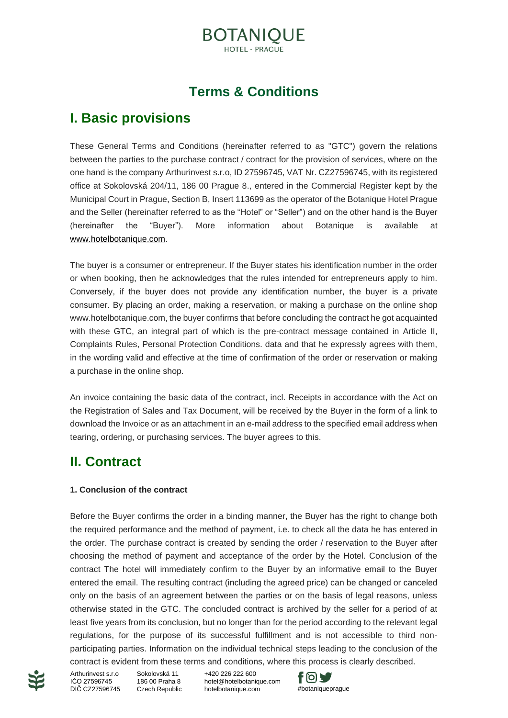# **BOTANIOUE**

## **Terms & Conditions**

## **I. Basic provisions**

These General Terms and Conditions (hereinafter referred to as "GTC") govern the relations between the parties to the purchase contract / contract for the provision of services, where on the one hand is the company Arthurinvest s.r.o, ID 27596745, VAT Nr. CZ27596745, with its registered office at Sokolovská 204/11, 186 00 Prague 8., entered in the Commercial Register kept by the Municipal Court in Prague, Section B, Insert 113699 as the operator of the Botanique Hotel Prague and the Seller (hereinafter referred to as the "Hotel" or "Seller") and on the other hand is the Buyer (hereinafter the "Buyer"). More information about Botanique is available at [www.hotelbotanique.com.](http://www.hotelbotanique.com/)

The buyer is a consumer or entrepreneur. If the Buyer states his identification number in the order or when booking, then he acknowledges that the rules intended for entrepreneurs apply to him. Conversely, if the buyer does not provide any identification number, the buyer is a private consumer. By placing an order, making a reservation, or making a purchase on the online shop www.hotelbotanique.com, the buyer confirms that before concluding the contract he got acquainted with these GTC, an integral part of which is the pre-contract message contained in Article II, Complaints Rules, Personal Protection Conditions. data and that he expressly agrees with them, in the wording valid and effective at the time of confirmation of the order or reservation or making a purchase in the online shop.

An invoice containing the basic data of the contract, incl. Receipts in accordance with the Act on the Registration of Sales and Tax Document, will be received by the Buyer in the form of a link to download the Invoice or as an attachment in an e-mail address to the specified email address when tearing, ordering, or purchasing services. The buyer agrees to this.

## **II. Contract**

#### **1. Conclusion of the contract**

Before the Buyer confirms the order in a binding manner, the Buyer has the right to change both the required performance and the method of payment, i.e. to check all the data he has entered in the order. The purchase contract is created by sending the order / reservation to the Buyer after choosing the method of payment and acceptance of the order by the Hotel. Conclusion of the contract The hotel will immediately confirm to the Buyer by an informative email to the Buyer entered the email. The resulting contract (including the agreed price) can be changed or canceled only on the basis of an agreement between the parties or on the basis of legal reasons, unless otherwise stated in the GTC. The concluded contract is archived by the seller for a period of at least five years from its conclusion, but no longer than for the period according to the relevant legal regulations, for the purpose of its successful fulfillment and is not accessible to third nonparticipating parties. Information on the individual technical steps leading to the conclusion of the contract is evident from these terms and conditions, where this process is clearly described.



Arthurinvest s.r.o. IČO 27596745 DIČ CZ27596745

Sokolovská 11 186 00 Praha 8 Czech Republic

+420 226 222 600 [hotel@hotelbotanique.com](mailto:info@hotelbotanique.com)<br>hotelbotanique.com

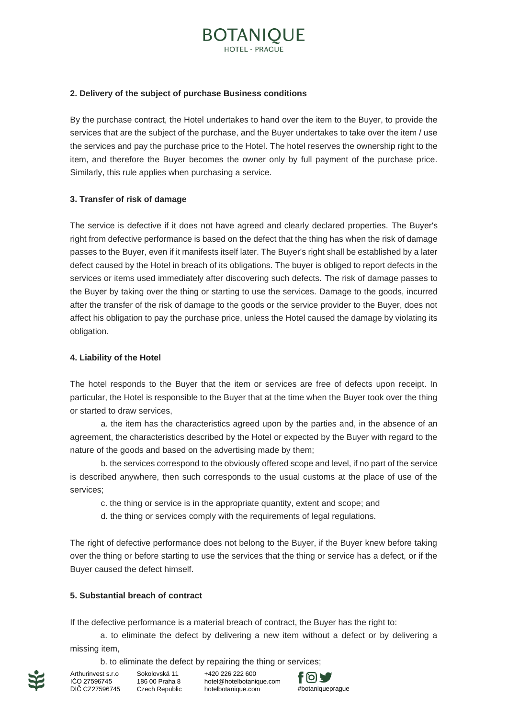# BOTANIOUE

#### **2. Delivery of the subject of purchase Business conditions**

By the purchase contract, the Hotel undertakes to hand over the item to the Buyer, to provide the services that are the subject of the purchase, and the Buyer undertakes to take over the item / use the services and pay the purchase price to the Hotel. The hotel reserves the ownership right to the item, and therefore the Buyer becomes the owner only by full payment of the purchase price. Similarly, this rule applies when purchasing a service.

#### **3. Transfer of risk of damage**

The service is defective if it does not have agreed and clearly declared properties. The Buyer's right from defective performance is based on the defect that the thing has when the risk of damage passes to the Buyer, even if it manifests itself later. The Buyer's right shall be established by a later defect caused by the Hotel in breach of its obligations. The buyer is obliged to report defects in the services or items used immediately after discovering such defects. The risk of damage passes to the Buyer by taking over the thing or starting to use the services. Damage to the goods, incurred after the transfer of the risk of damage to the goods or the service provider to the Buyer, does not affect his obligation to pay the purchase price, unless the Hotel caused the damage by violating its obligation.

#### **4. Liability of the Hotel**

The hotel responds to the Buyer that the item or services are free of defects upon receipt. In particular, the Hotel is responsible to the Buyer that at the time when the Buyer took over the thing or started to draw services,

a. the item has the characteristics agreed upon by the parties and, in the absence of an agreement, the characteristics described by the Hotel or expected by the Buyer with regard to the nature of the goods and based on the advertising made by them;

b. the services correspond to the obviously offered scope and level, if no part of the service is described anywhere, then such corresponds to the usual customs at the place of use of the services;

c. the thing or service is in the appropriate quantity, extent and scope; and

d. the thing or services comply with the requirements of legal regulations.

The right of defective performance does not belong to the Buyer, if the Buyer knew before taking over the thing or before starting to use the services that the thing or service has a defect, or if the Buyer caused the defect himself.

#### **5. Substantial breach of contract**

If the defective performance is a material breach of contract, the Buyer has the right to:

a. to eliminate the defect by delivering a new item without a defect or by delivering a missing item,

b. to eliminate the defect by repairing the thing or services;



Sokolovská 11 186 00 Praha 8 Czech Republic

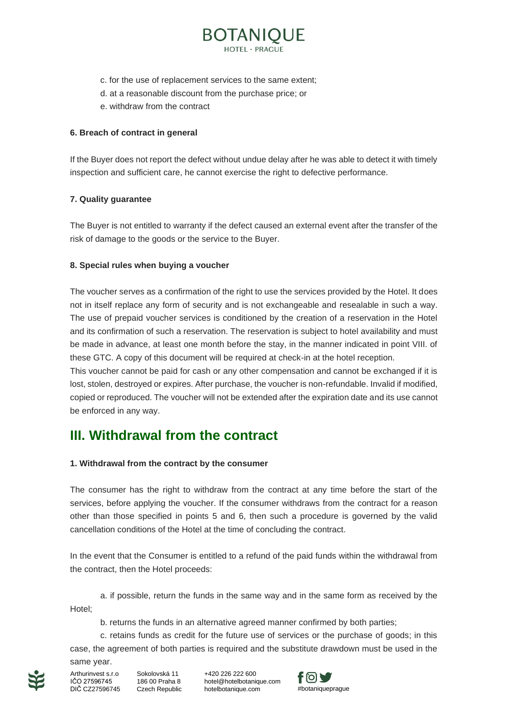- c. for the use of replacement services to the same extent;
- d. at a reasonable discount from the purchase price; or
- e. withdraw from the contract

### **6. Breach of contract in general**

If the Buyer does not report the defect without undue delay after he was able to detect it with timely inspection and sufficient care, he cannot exercise the right to defective performance.

**BOTANIQUE** 

### **7. Quality guarantee**

The Buyer is not entitled to warranty if the defect caused an external event after the transfer of the risk of damage to the goods or the service to the Buyer.

### **8. Special rules when buying a voucher**

The voucher serves as a confirmation of the right to use the services provided by the Hotel. It does not in itself replace any form of security and is not exchangeable and resealable in such a way. The use of prepaid voucher services is conditioned by the creation of a reservation in the Hotel and its confirmation of such a reservation. The reservation is subject to hotel availability and must be made in advance, at least one month before the stay, in the manner indicated in point VIII. of these GTC. A copy of this document will be required at check-in at the hotel reception.

This voucher cannot be paid for cash or any other compensation and cannot be exchanged if it is lost, stolen, destroyed or expires. After purchase, the voucher is non-refundable. Invalid if modified, copied or reproduced. The voucher will not be extended after the expiration date and its use cannot be enforced in any way.

## **III. Withdrawal from the contract**

### **1. Withdrawal from the contract by the consumer**

The consumer has the right to withdraw from the contract at any time before the start of the services, before applying the voucher. If the consumer withdraws from the contract for a reason other than those specified in points 5 and 6, then such a procedure is governed by the valid cancellation conditions of the Hotel at the time of concluding the contract.

In the event that the Consumer is entitled to a refund of the paid funds within the withdrawal from the contract, then the Hotel proceeds:

Hotel;

b. returns the funds in an alternative agreed manner confirmed by both parties;

a. if possible, return the funds in the same way and in the same form as received by the

c. retains funds as credit for the future use of services or the purchase of goods; in this case, the agreement of both parties is required and the substitute drawdown must be used in the same year.

Arthurinvest s.r.o IČO 27596745

Sokolovská 11 186 00 Praha 8 DIČ CZ27596745 Czech Republic

+420 226 222 600 [hotel@hotelbotanique.com](mailto:info@hotelbotanique.com) hotelbotanique.com #botaniquepraque

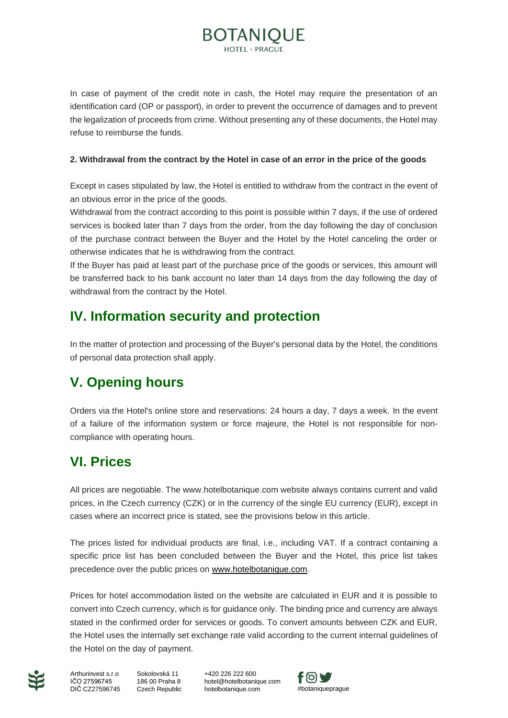In case of payment of the credit note in cash, the Hotel may require the presentation of an identification card (OP or passport), in order to prevent the occurrence of damages and to prevent the legalization of proceeds from crime. Without presenting any of these documents, the Hotel may refuse to reimburse the funds.

**BOTANIQUE** 

#### **2. Withdrawal from the contract by the Hotel in case of an error in the price of the goods**

Except in cases stipulated by law, the Hotel is entitled to withdraw from the contract in the event of an obvious error in the price of the goods.

Withdrawal from the contract according to this point is possible within 7 days, if the use of ordered services is booked later than 7 days from the order, from the day following the day of conclusion of the purchase contract between the Buyer and the Hotel by the Hotel canceling the order or otherwise indicates that he is withdrawing from the contract.

If the Buyer has paid at least part of the purchase price of the goods or services, this amount will be transferred back to his bank account no later than 14 days from the day following the day of withdrawal from the contract by the Hotel.

## **IV. Information security and protection**

In the matter of protection and processing of the Buyer's personal data by the Hotel, the conditions of personal data protection shall apply.

## **V. Opening hours**

Orders via the Hotel's online store and reservations: 24 hours a day, 7 days a week. In the event of a failure of the information system or force majeure, the Hotel is not responsible for noncompliance with operating hours.

## **VI. Prices**

All prices are negotiable. The www.hotelbotanique.com website always contains current and valid prices, in the Czech currency (CZK) or in the currency of the single EU currency (EUR), except in cases where an incorrect price is stated, see the provisions below in this article.

The prices listed for individual products are final, i.e., including VAT. If a contract containing a specific price list has been concluded between the Buyer and the Hotel, this price list takes precedence over the public prices on [www.hotelbotanique.com.](http://www.hotelbotanique.com/)

Prices for hotel accommodation listed on the website are calculated in EUR and it is possible to convert into Czech currency, which is for guidance only. The binding price and currency are always stated in the confirmed order for services or goods. To convert amounts between CZK and EUR, the Hotel uses the internally set exchange rate valid according to the current internal guidelines of the Hotel on the day of payment.



Sokolovská 11 186 00 Praha 8 DIČ CZ27596745 Czech Republic Arthurinvest s.r.o IČO 27596745

+420 226 222 600 [hotel@hotelbotanique.com](mailto:info@hotelbotanique.com) hotelbotanique.com #botaniquepraque

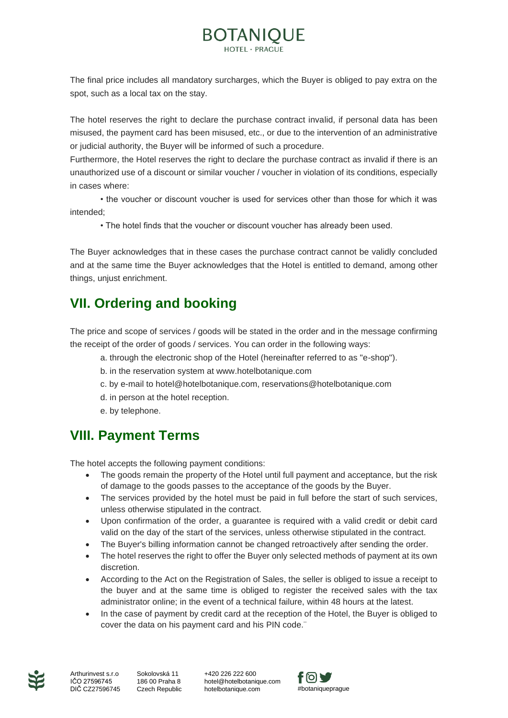# **BOTANIQUE**

The final price includes all mandatory surcharges, which the Buyer is obliged to pay extra on the spot, such as a local tax on the stay.

The hotel reserves the right to declare the purchase contract invalid, if personal data has been misused, the payment card has been misused, etc., or due to the intervention of an administrative or judicial authority, the Buyer will be informed of such a procedure.

Furthermore, the Hotel reserves the right to declare the purchase contract as invalid if there is an unauthorized use of a discount or similar voucher / voucher in violation of its conditions, especially in cases where:

• the voucher or discount voucher is used for services other than those for which it was intended;

• The hotel finds that the voucher or discount voucher has already been used.

The Buyer acknowledges that in these cases the purchase contract cannot be validly concluded and at the same time the Buyer acknowledges that the Hotel is entitled to demand, among other things, unjust enrichment.

# **VII. Ordering and booking**

The price and scope of services / goods will be stated in the order and in the message confirming the receipt of the order of goods / services. You can order in the following ways:

- a. through the electronic shop of the Hotel (hereinafter referred to as "e-shop").
- b. in the reservation system at www.hotelbotanique.com
- c. by e-mail to hotel@hotelbotanique.com, reservations@hotelbotanique.com
- d. in person at the hotel reception.
- e. by telephone.

## **VIII. Payment Terms**

The hotel accepts the following payment conditions:

- The goods remain the property of the Hotel until full payment and acceptance, but the risk of damage to the goods passes to the acceptance of the goods by the Buyer.
- The services provided by the hotel must be paid in full before the start of such services, unless otherwise stipulated in the contract.
- Upon confirmation of the order, a guarantee is required with a valid credit or debit card valid on the day of the start of the services, unless otherwise stipulated in the contract.
- The Buyer's billing information cannot be changed retroactively after sending the order.
- The hotel reserves the right to offer the Buyer only selected methods of payment at its own discretion.
- According to the Act on the Registration of Sales, the seller is obliged to issue a receipt to the buyer and at the same time is obliged to register the received sales with the tax administrator online; in the event of a technical failure, within 48 hours at the latest.
- In the case of payment by credit card at the reception of the Hotel, the Buyer is obliged to cover the data on his payment card and his PIN code.¨



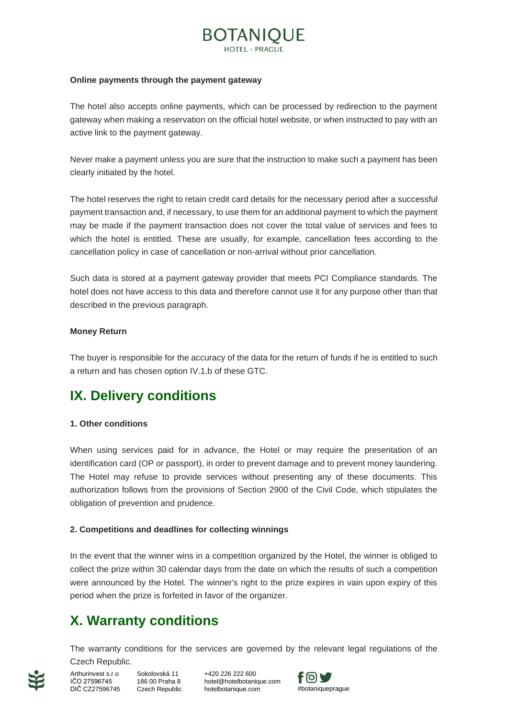# **BOTANIOUE**

#### **Online payments through the payment gateway**

The hotel also accepts online payments, which can be processed by redirection to the payment gateway when making a reservation on the official hotel website, or when instructed to pay with an active link to the payment gateway.

Never make a payment unless you are sure that the instruction to make such a payment has been clearly initiated by the hotel.

The hotel reserves the right to retain credit card details for the necessary period after a successful payment transaction and, if necessary, to use them for an additional payment to which the payment may be made if the payment transaction does not cover the total value of services and fees to which the hotel is entitled. These are usually, for example, cancellation fees according to the cancellation policy in case of cancellation or non-arrival without prior cancellation.

Such data is stored at a payment gateway provider that meets PCI Compliance standards. The hotel does not have access to this data and therefore cannot use it for any purpose other than that described in the previous paragraph.

#### **Money Return**

The buyer is responsible for the accuracy of the data for the return of funds if he is entitled to such a return and has chosen option IV.1.b of these GTC.

## **IX. Delivery conditions**

#### **1. Other conditions**

When using services paid for in advance, the Hotel or may require the presentation of an identification card (OP or passport), in order to prevent damage and to prevent money laundering. The Hotel may refuse to provide services without presenting any of these documents. This authorization follows from the provisions of Section 2900 of the Civil Code, which stipulates the obligation of prevention and prudence.

#### **2. Competitions and deadlines for collecting winnings**

In the event that the winner wins in a competition organized by the Hotel, the winner is obliged to collect the prize within 30 calendar days from the date on which the results of such a competition were announced by the Hotel. The winner's right to the prize expires in vain upon expiry of this period when the prize is forfeited in favor of the organizer.

## **X. Warranty conditions**

The warranty conditions for the services are governed by the relevant legal regulations of the Czech Republic.

DIČ CZ27596745 Czech Republic Arthurinvest s.r.o. IČO 27596745

Sokolovská 11 186 00 Praha 8 +420 226 222 600 [hotel@hotelbotanique.com](mailto:info@hotelbotanique.com) hotelbotanique.com #botaniquepraque

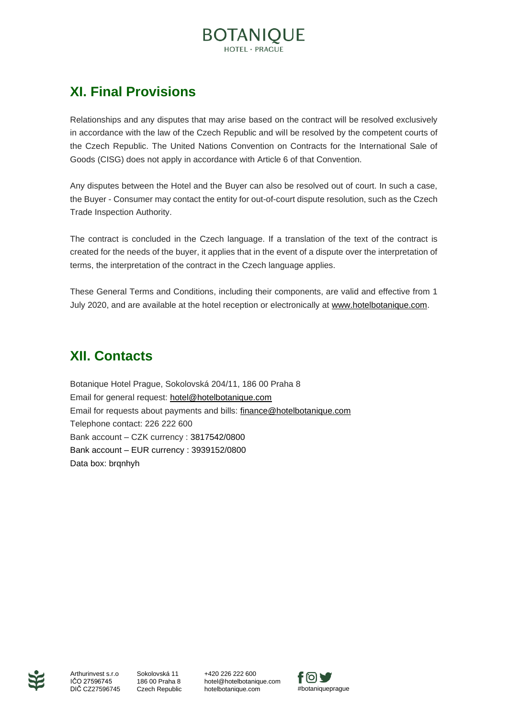# **BOTANIQUE**

## **XI. Final Provisions**

Relationships and any disputes that may arise based on the contract will be resolved exclusively in accordance with the law of the Czech Republic and will be resolved by the competent courts of the Czech Republic. The United Nations Convention on Contracts for the International Sale of Goods (CISG) does not apply in accordance with Article 6 of that Convention.

Any disputes between the Hotel and the Buyer can also be resolved out of court. In such a case, the Buyer - Consumer may contact the entity for out-of-court dispute resolution, such as the Czech Trade Inspection Authority.

The contract is concluded in the Czech language. If a translation of the text of the contract is created for the needs of the buyer, it applies that in the event of a dispute over the interpretation of terms, the interpretation of the contract in the Czech language applies.

These General Terms and Conditions, including their components, are valid and effective from 1 July 2020, and are available at the hotel reception or electronically at [www.hotelbotanique.com.](http://www.hotelbotanique.com/)

## **XII. Contacts**

Botanique Hotel Prague, Sokolovská 204/11, 186 00 Praha 8 Email for general request: [hotel@hotelbotanique.com](mailto:hotel@hotelbotanique.com) Email for requests about payments and bills: [finance@hotelbotanique.com](mailto:finance@hotelbotanique.com) Telephone contact: 226 222 600 Bank account – CZK currency : 3817542/0800 Bank account – EUR currency : 3939152/0800 Data box: brqnhyh



DIČ CZ27596745 Czech Republic Arthurinvest s.r.o IČO 27596745